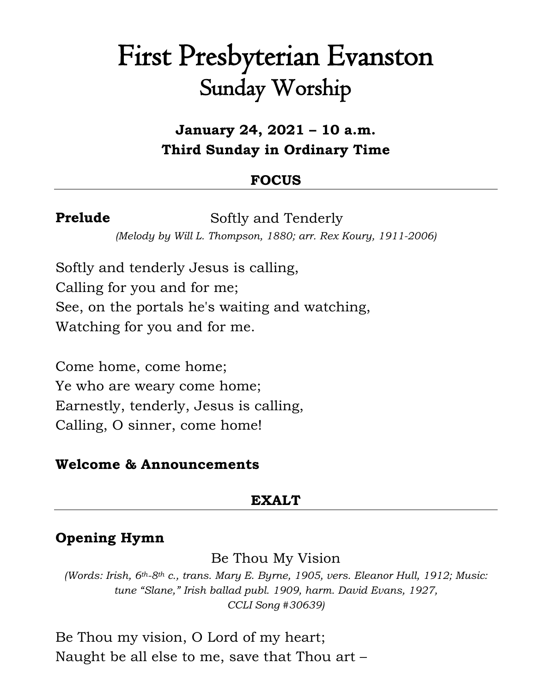# First Presbyterian Evanston Sunday Worship

# **January 24, 2021 – 10 a.m. Third Sunday in Ordinary Time**

## **FOCUS**

**Prelude** Softly and Tenderly *(Melody by Will L. Thompson, 1880; arr. Rex Koury, 1911-2006)*

Softly and tenderly Jesus is calling, Calling for you and for me; See, on the portals he's waiting and watching, Watching for you and for me.

Come home, come home; Ye who are weary come home; Earnestly, tenderly, Jesus is calling, Calling, O sinner, come home!

#### **Welcome & Announcements**

#### **EXALT**

# **Opening Hymn**

Be Thou My Vision

*(Words: Irish, 6th-8th c., trans. Mary E. Byrne, 1905, vers. Eleanor Hull, 1912; Music: tune "Slane," Irish ballad publ. 1909, harm. David Evans, 1927, CCLI Song #30639)*

Be Thou my vision, O Lord of my heart; Naught be all else to me, save that Thou art –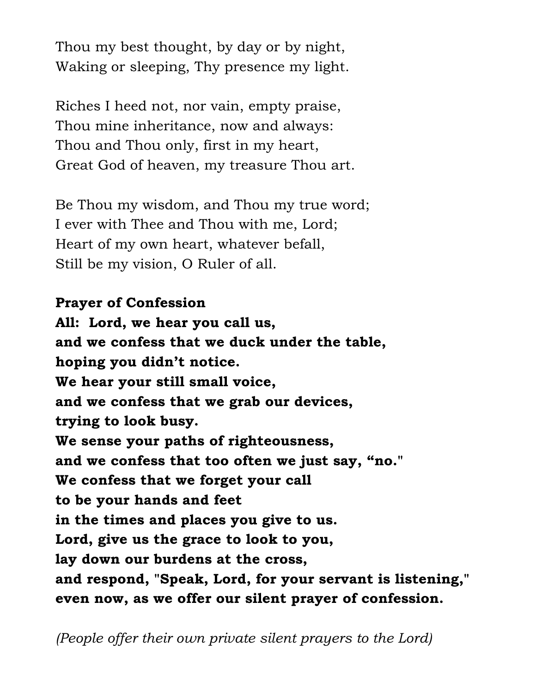Thou my best thought, by day or by night, Waking or sleeping, Thy presence my light.

Riches I heed not, nor vain, empty praise, Thou mine inheritance, now and always: Thou and Thou only, first in my heart, Great God of heaven, my treasure Thou art.

Be Thou my wisdom, and Thou my true word; I ever with Thee and Thou with me, Lord; Heart of my own heart, whatever befall, Still be my vision, O Ruler of all.

#### **Prayer of Confession**

**All: Lord, we hear you call us, and we confess that we duck under the table, hoping you didn't notice. We hear your still small voice, and we confess that we grab our devices, trying to look busy. We sense your paths of righteousness, and we confess that too often we just say, "no." We confess that we forget your call to be your hands and feet in the times and places you give to us. Lord, give us the grace to look to you, lay down our burdens at the cross, and respond, "Speak, Lord, for your servant is listening," even now, as we offer our silent prayer of confession.**

*(People offer their own private silent prayers to the Lord)*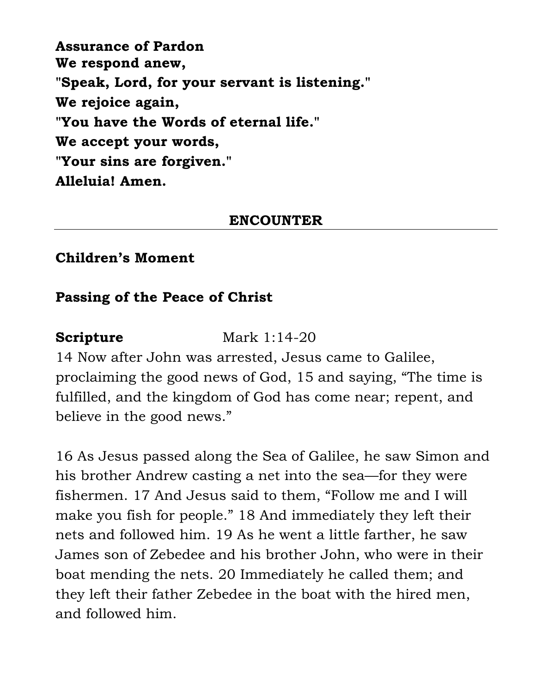**Assurance of Pardon We respond anew, "Speak, Lord, for your servant is listening." We rejoice again, "You have the Words of eternal life." We accept your words, "Your sins are forgiven." Alleluia! Amen.**

#### **ENCOUNTER**

## **Children's Moment**

## **Passing of the Peace of Christ**

#### **Scripture Mark 1:14-20**

14 Now after John was arrested, Jesus came to Galilee, proclaiming the good news of God, 15 and saying, "The time is fulfilled, and the kingdom of God has come near; repent, and believe in the good news."

16 As Jesus passed along the Sea of Galilee, he saw Simon and his brother Andrew casting a net into the sea—for they were fishermen. 17 And Jesus said to them, "Follow me and I will make you fish for people." 18 And immediately they left their nets and followed him. 19 As he went a little farther, he saw James son of Zebedee and his brother John, who were in their boat mending the nets. 20 Immediately he called them; and they left their father Zebedee in the boat with the hired men, and followed him.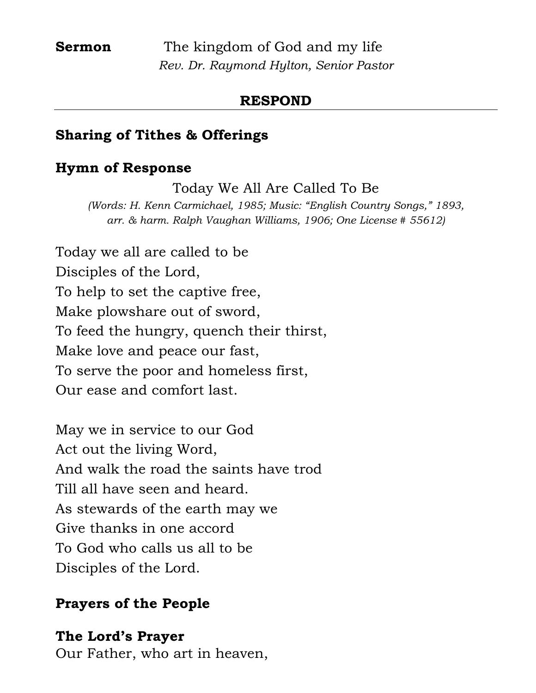#### **RESPOND**

### **Sharing of Tithes & Offerings**

### **Hymn of Response**

Today We All Are Called To Be

*(Words: H. Kenn Carmichael, 1985; Music: "English Country Songs," 1893, arr. & harm. Ralph Vaughan Williams, 1906; One License # 55612)*

Today we all are called to be Disciples of the Lord, To help to set the captive free, Make plowshare out of sword, To feed the hungry, quench their thirst, Make love and peace our fast, To serve the poor and homeless first, Our ease and comfort last.

May we in service to our God Act out the living Word, And walk the road the saints have trod Till all have seen and heard. As stewards of the earth may we Give thanks in one accord To God who calls us all to be Disciples of the Lord.

# **Prayers of the People**

**The Lord's Prayer** Our Father, who art in heaven,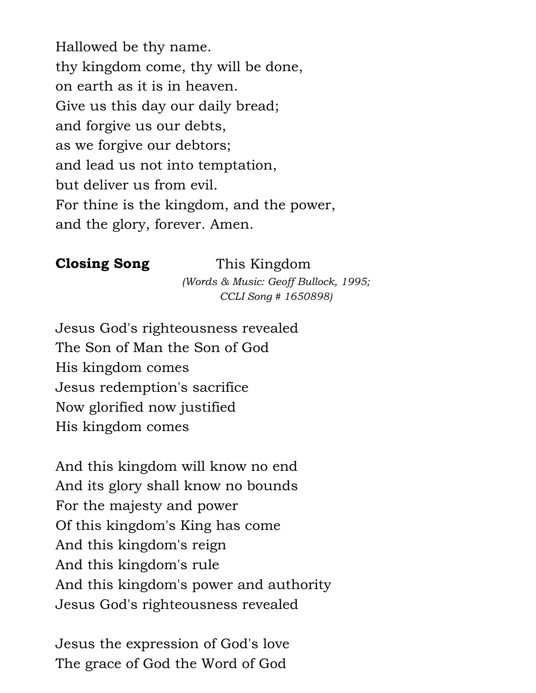Hallowed be thy name. thy kingdom come, thy will be done, on earth as it is in heaven. Give us this day our daily bread; and forgive us our debts, as we forgive our debtors; and lead us not into temptation, but deliver us from evil. For thine is the kingdom, and the power, and the glory, forever. Amen.

#### **Closing Song** This Kingdom

*(Words & Music: Geoff Bullock, 1995; CCLI Song # 1650898)*

Jesus God's righteousness revealed The Son of Man the Son of God His kingdom comes Jesus redemption's sacrifice Now glorified now justified His kingdom comes

And this kingdom will know no end And its glory shall know no bounds For the majesty and power Of this kingdom's King has come And this kingdom's reign And this kingdom's rule And this kingdom's power and authority Jesus God's righteousness revealed

Jesus the expression of God's love The grace of God the Word of God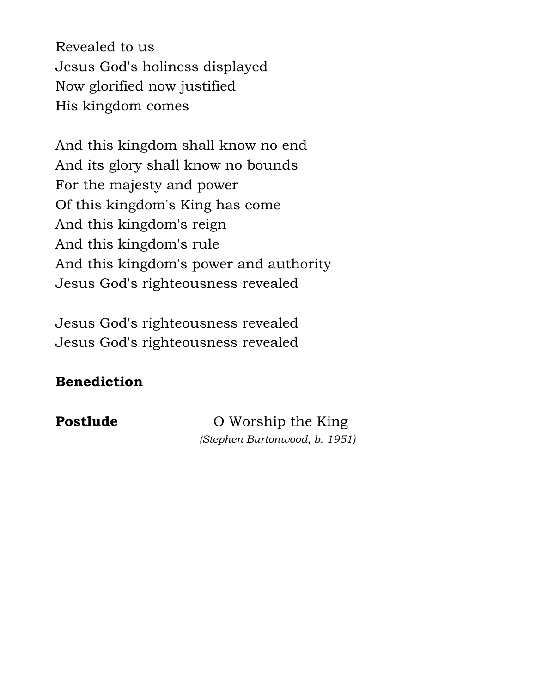Revealed to us Jesus God's holiness displayed Now glorified now justified His kingdom comes

And this kingdom shall know no end And its glory shall know no bounds For the majesty and power Of this kingdom's King has come And this kingdom's reign And this kingdom's rule And this kingdom's power and authority Jesus God's righteousness revealed

Jesus God's righteousness revealed Jesus God's righteousness revealed

# **Benediction**

**Postlude** O Worship the King *(Stephen Burtonwood, b. 1951)*